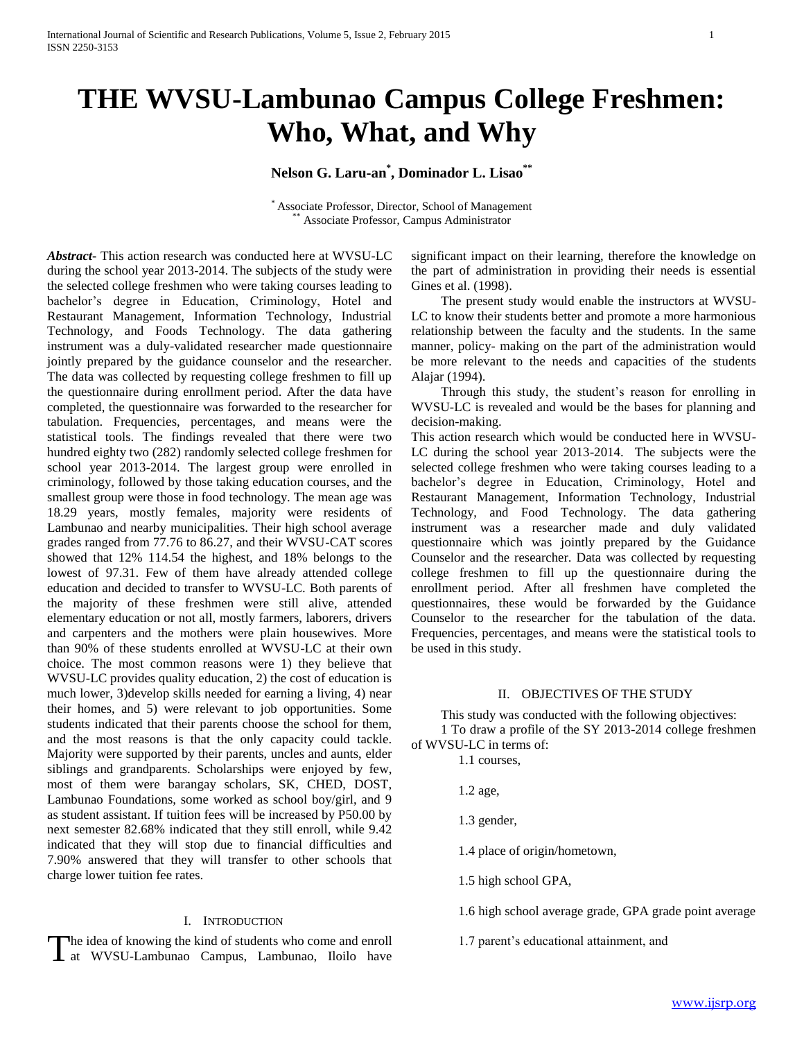# **THE WVSU-Lambunao Campus College Freshmen: Who, What, and Why**

# **Nelson G. Laru-an\* , Dominador L. Lisao\*\***

\* Associate Professor, Director, School of Management Associate Professor, Campus Administrator

*Abstract***-** This action research was conducted here at WVSU-LC during the school year 2013-2014. The subjects of the study were the selected college freshmen who were taking courses leading to bachelor's degree in Education, Criminology, Hotel and Restaurant Management, Information Technology, Industrial Technology, and Foods Technology. The data gathering instrument was a duly-validated researcher made questionnaire jointly prepared by the guidance counselor and the researcher. The data was collected by requesting college freshmen to fill up the questionnaire during enrollment period. After the data have completed, the questionnaire was forwarded to the researcher for tabulation. Frequencies, percentages, and means were the statistical tools. The findings revealed that there were two hundred eighty two (282) randomly selected college freshmen for school year 2013-2014. The largest group were enrolled in criminology, followed by those taking education courses, and the smallest group were those in food technology. The mean age was 18.29 years, mostly females, majority were residents of Lambunao and nearby municipalities. Their high school average grades ranged from 77.76 to 86.27, and their WVSU-CAT scores showed that 12% 114.54 the highest, and 18% belongs to the lowest of 97.31. Few of them have already attended college education and decided to transfer to WVSU-LC. Both parents of the majority of these freshmen were still alive, attended elementary education or not all, mostly farmers, laborers, drivers and carpenters and the mothers were plain housewives. More than 90% of these students enrolled at WVSU-LC at their own choice. The most common reasons were 1) they believe that WVSU-LC provides quality education, 2) the cost of education is much lower, 3)develop skills needed for earning a living, 4) near their homes, and 5) were relevant to job opportunities. Some students indicated that their parents choose the school for them, and the most reasons is that the only capacity could tackle. Majority were supported by their parents, uncles and aunts, elder siblings and grandparents. Scholarships were enjoyed by few, most of them were barangay scholars, SK, CHED, DOST, Lambunao Foundations, some worked as school boy/girl, and 9 as student assistant. If tuition fees will be increased by P50.00 by next semester 82.68% indicated that they still enroll, while 9.42 indicated that they will stop due to financial difficulties and 7.90% answered that they will transfer to other schools that charge lower tuition fee rates.

#### I. INTRODUCTION

The idea of knowing the kind of students who come and enroll 1.7 parent's educational attainment, and at WVSU-Lambunao Campus, Lambunao, Iloilo have at WVSU-Lambunao Campus, Lambunao, Iloilo have

significant impact on their learning, therefore the knowledge on the part of administration in providing their needs is essential Gines et al. (1998).

 The present study would enable the instructors at WVSU-LC to know their students better and promote a more harmonious relationship between the faculty and the students. In the same manner, policy- making on the part of the administration would be more relevant to the needs and capacities of the students Alajar (1994).

 Through this study, the student's reason for enrolling in WVSU-LC is revealed and would be the bases for planning and decision-making.

This action research which would be conducted here in WVSU-LC during the school year 2013-2014. The subjects were the selected college freshmen who were taking courses leading to a bachelor's degree in Education, Criminology, Hotel and Restaurant Management, Information Technology, Industrial Technology, and Food Technology. The data gathering instrument was a researcher made and duly validated questionnaire which was jointly prepared by the Guidance Counselor and the researcher. Data was collected by requesting college freshmen to fill up the questionnaire during the enrollment period. After all freshmen have completed the questionnaires, these would be forwarded by the Guidance Counselor to the researcher for the tabulation of the data. Frequencies, percentages, and means were the statistical tools to be used in this study.

## II. OBJECTIVES OF THE STUDY

 This study was conducted with the following objectives: 1 To draw a profile of the SY 2013-2014 college freshmen of WVSU-LC in terms of:

- 1.1 courses,
- 1.2 age,

1.3 gender,

- 1.4 place of origin/hometown,
- 1.5 high school GPA,
- 1.6 high school average grade, GPA grade point average
-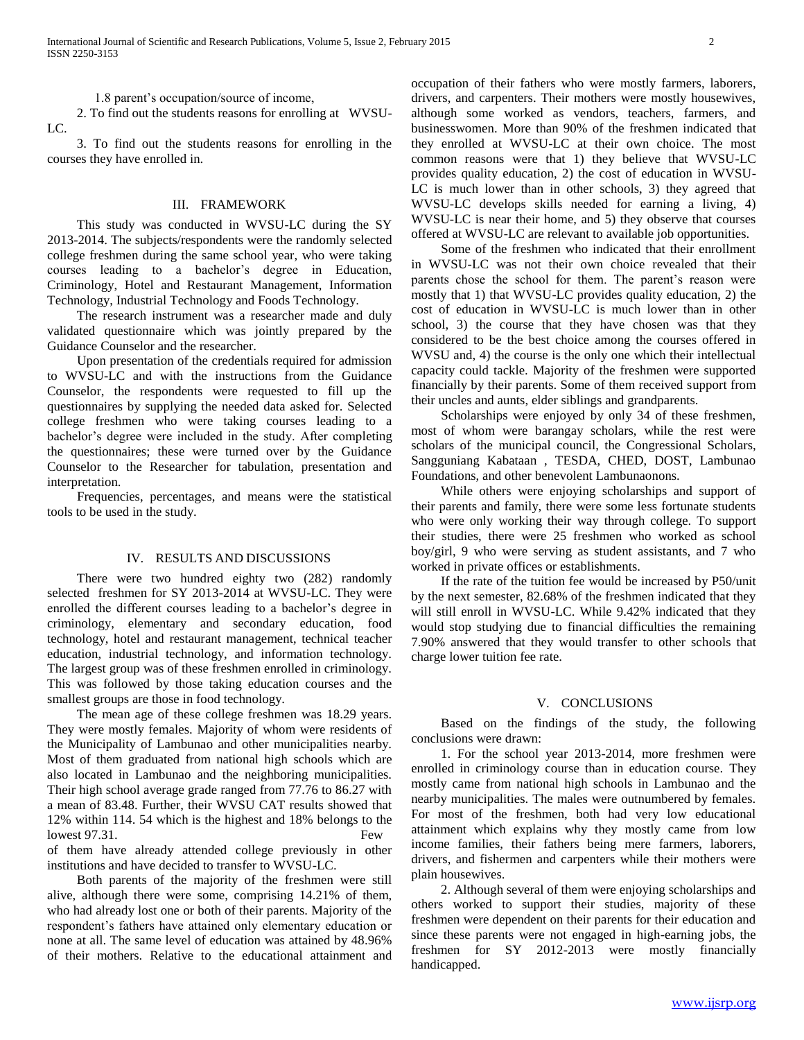1.8 parent's occupation/source of income,

 2. To find out the students reasons for enrolling at WVSU-LC.

 3. To find out the students reasons for enrolling in the courses they have enrolled in.

### III. FRAMEWORK

 This study was conducted in WVSU-LC during the SY 2013-2014. The subjects/respondents were the randomly selected college freshmen during the same school year, who were taking courses leading to a bachelor's degree in Education, Criminology, Hotel and Restaurant Management, Information Technology, Industrial Technology and Foods Technology.

 The research instrument was a researcher made and duly validated questionnaire which was jointly prepared by the Guidance Counselor and the researcher.

 Upon presentation of the credentials required for admission to WVSU-LC and with the instructions from the Guidance Counselor, the respondents were requested to fill up the questionnaires by supplying the needed data asked for. Selected college freshmen who were taking courses leading to a bachelor's degree were included in the study. After completing the questionnaires; these were turned over by the Guidance Counselor to the Researcher for tabulation, presentation and interpretation.

 Frequencies, percentages, and means were the statistical tools to be used in the study.

#### IV. RESULTS AND DISCUSSIONS

 There were two hundred eighty two (282) randomly selected freshmen for SY 2013-2014 at WVSU-LC. They were enrolled the different courses leading to a bachelor's degree in criminology, elementary and secondary education, food technology, hotel and restaurant management, technical teacher education, industrial technology, and information technology. The largest group was of these freshmen enrolled in criminology. This was followed by those taking education courses and the smallest groups are those in food technology.

 The mean age of these college freshmen was 18.29 years. They were mostly females. Majority of whom were residents of the Municipality of Lambunao and other municipalities nearby. Most of them graduated from national high schools which are also located in Lambunao and the neighboring municipalities. Their high school average grade ranged from 77.76 to 86.27 with a mean of 83.48. Further, their WVSU CAT results showed that 12% within 114. 54 which is the highest and 18% belongs to the lowest 97.31. Few of them have already attended college previously in other institutions and have decided to transfer to WVSU-LC.

 Both parents of the majority of the freshmen were still alive, although there were some, comprising 14.21% of them, who had already lost one or both of their parents. Majority of the respondent's fathers have attained only elementary education or none at all. The same level of education was attained by 48.96% of their mothers. Relative to the educational attainment and

occupation of their fathers who were mostly farmers, laborers, drivers, and carpenters. Their mothers were mostly housewives, although some worked as vendors, teachers, farmers, and businesswomen. More than 90% of the freshmen indicated that they enrolled at WVSU-LC at their own choice. The most common reasons were that 1) they believe that WVSU-LC provides quality education, 2) the cost of education in WVSU-LC is much lower than in other schools, 3) they agreed that WVSU-LC develops skills needed for earning a living, 4) WVSU-LC is near their home, and 5) they observe that courses offered at WVSU-LC are relevant to available job opportunities.

 Some of the freshmen who indicated that their enrollment in WVSU-LC was not their own choice revealed that their parents chose the school for them. The parent's reason were mostly that 1) that WVSU-LC provides quality education, 2) the cost of education in WVSU-LC is much lower than in other school, 3) the course that they have chosen was that they considered to be the best choice among the courses offered in WVSU and, 4) the course is the only one which their intellectual capacity could tackle. Majority of the freshmen were supported financially by their parents. Some of them received support from their uncles and aunts, elder siblings and grandparents.

 Scholarships were enjoyed by only 34 of these freshmen, most of whom were barangay scholars, while the rest were scholars of the municipal council, the Congressional Scholars, Sangguniang Kabataan , TESDA, CHED, DOST, Lambunao Foundations, and other benevolent Lambunaonons.

 While others were enjoying scholarships and support of their parents and family, there were some less fortunate students who were only working their way through college. To support their studies, there were 25 freshmen who worked as school boy/girl, 9 who were serving as student assistants, and 7 who worked in private offices or establishments.

 If the rate of the tuition fee would be increased by P50/unit by the next semester, 82.68% of the freshmen indicated that they will still enroll in WVSU-LC. While 9.42% indicated that they would stop studying due to financial difficulties the remaining 7.90% answered that they would transfer to other schools that charge lower tuition fee rate.

### V. CONCLUSIONS

 Based on the findings of the study, the following conclusions were drawn:

 1. For the school year 2013-2014, more freshmen were enrolled in criminology course than in education course. They mostly came from national high schools in Lambunao and the nearby municipalities. The males were outnumbered by females. For most of the freshmen, both had very low educational attainment which explains why they mostly came from low income families, their fathers being mere farmers, laborers, drivers, and fishermen and carpenters while their mothers were plain housewives.

 2. Although several of them were enjoying scholarships and others worked to support their studies, majority of these freshmen were dependent on their parents for their education and since these parents were not engaged in high-earning jobs, the freshmen for SY 2012-2013 were mostly financially handicapped.